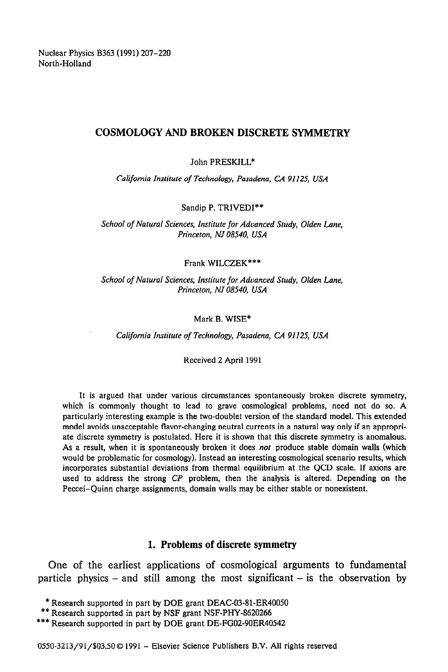Nuclear Physics B363 (1991) 207-220 North-Holland

# COSMOLOGY AND BROKEN DISCRETE SYMMETRY

#### John PRESKILL\*

California Institute of Technology, Pasadena, CA 91125, USA

Sandip P. TRIVEDI\*\*

School of Natural Sciences, Institute for Advanced Study, Olden Lane, Princeton, NJ 08540, USA

Frank WILCZEK\*\*\*

School of Natural Sciences, Institute for Advanced Study, Olden Lane, Princeton, NJ 08540, USA

Mark B. WISE\*

California Institute of Technology, Pasadena, CA 91125, USA

Received 2 April 1991

It is argued that under various circumstances spontaneously broken discrete symmetry, which is commonly thought to lead to grave cosmological problems, need not do so. A particularly interesting example is the two-doublet version of the standard model. This extended model avoids unacceptable flavor-changing neutral currents in a natural way only if an appropriate discrete symmetry is postulated. Here it is shown that this discrete symmetry is anomalous. As a result, when it is spontaneously broken it does not produce stable domain walls (which would be problematic for cosmology). Instead an interesting cosmological scenario results, which incorporates substantial deviations from thermal equilibrium at the QCD scale. If axions are used to address the strong  $\mathbb{CP}$  problem, then the analysis is altered. Depending on the Peccei-Quinn charge assignments, domain walls may be either stable or nonexistent.

### 1. Problems of discrete symmetry

One of the earliest applications of cosmological arguments to fundamental particle physics – and still among the most significant – is the observation by

\* Research supported in part by DOE grant DEAC-03-Sl-ER40050

\*\* Research supported in part by NSF grant NSF-PHY-8620266

\*\*\* Research supported in part by DOE grant DE-FG02-90ER40542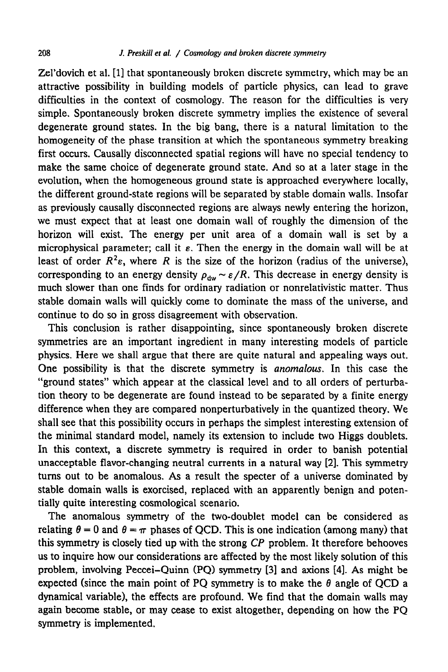Zel'dovich et al. [l] that spontaneously broken discrete symmetry, which may be an attractive possibility in building models of particle physics, can lead to grave difficulties in the context of cosmology. The reason for the difficulties is very simple. Spontaneously broken discrete symmetry implies the existence of several degenerate ground states. In the big bang, there is a natural limitation to the homogeneity of the phase transition at which the spontaneous symmetry breaking first occurs. Causally disconnected spatial regions will have no special tendency to make the same choice of degenerate ground state. And so at a later stage in the evolution, when the homogeneous ground state is approached everywhere locally, the different ground-state regions will be separated by stable domain walls. Insofar as previously causally disconnected regions are always newly entering the horizon, we must expect that at least one domain wall of roughly the dimension of the horizon will exist. The energy per unit area of a domain wall is set by a microphysical parameter; call it  $\varepsilon$ . Then the energy in the domain wall will be at least of order  $R^2\varepsilon$ , where R is the size of the horizon (radius of the universe), corresponding to an energy density  $\rho_{dw} \sim \varepsilon / R$ . This decrease in energy density is much slower than one finds for ordinary radiation or nonrelativistic matter. Thus stable domain walls will quickly come to dominate the mass of the universe, and continue to do so in gross disagreement with observation.

This conclusion is rather disappointing, since spontaneously broken discrete symmetries are an important ingredient in many interesting models of particle physics. Here we shall argue that there are quite natural and appealing ways out. One possibility is that the discrete symmetry is *anomalous*. In this case the "ground states" which appear at the classical level and to all orders of perturbation theory to be degenerate are found instead to be separated by a finite energy difference when they are compared nonperturbatively in the quantized theory. We shall see that this possibility occurs in perhaps the simplest interesting extension of the minimal standard model, namely its extension to include two Higgs doublets. In this context, a discrete symmetry is required in order to banish potential unacceptable flavor-changing neutral currents in a natural way [2]. This symmetry turns out to be anomalous. As a result the specter of a universe dominated by stable domain walls is exorcised, replaced with an apparently benign and potentially quite interesting cosmological scenario.

The anomalous symmetry of the two-doublet model can be considered as relating  $\theta = 0$  and  $\theta = \pi$  phases of QCD. This is one indication (among many) that this symmetry is closely tied up with the strong CP problem. It therefore behooves us to inquire how our considerations are affected by the most likely solution of this problem, involving Peccei-Quinn (PQ) symmetry [3] and axions [4]. As might be expected (since the main point of PQ symmetry is to make the  $\theta$  angle of QCD a dynamical variable), the effects are profound. We find that the domain walls may again become stable, or may cease to exist altogether, depending on how the PQ symmetry is implemented.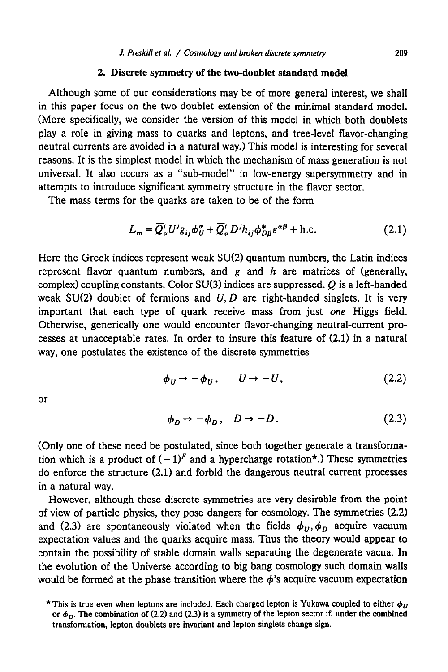### 2. Discrete symmetry of the two-doublet standard model

Although some of our considerations may be of more general interest, we shall in this paper focus on the two-doublet extension of the minimal standard model. (More specifically, we consider the version of this model in which both doublets play a role in giving mass to quarks and leptons, and tree-level flavor-changing neutral currents are avoided in a natural way.) This model is interesting for several reasons. It is the simplest model in which the mechanism of mass generation is not universal. It also occurs as a "sub-model" in low-energy supersymmetry and in attempts to introduce significant symmetry structure in the flavor sector.

The mass terms for the quarks are taken to be of the form

$$
L_{\rm m} = \overline{Q}_{\alpha}^{i} U^{j} g_{ij} \phi_{U}^{\alpha} + \overline{Q}_{\alpha}^{i} D^{j} h_{ij} \phi_{DB}^{*} \varepsilon^{\alpha \beta} + \text{h.c.}
$$
 (2.1)

Here the Greek indices represent weak SU(2) quantum numbers, the Latin indices represent flavor quantum numbers, and  $g$  and  $h$  are matrices of (generally, complex) coupling constants. Color  $SU(3)$  indices are suppressed.  $Q$  is a left-handed weak SU(2) doublet of fermions and  $U, D$  are right-handed singlets. It is very important that each type of quark receive mass from just one Higgs field. Otherwise, generically one would encounter flavor-changing neutral-current processes at unacceptable rates. In order to insure this feature of (2.1) in a natural way, one postulates the existence of the discrete symmetries

$$
\phi_U \to -\phi_U, \qquad U \to -U,\tag{2.2}
$$

or

$$
\phi_D \to -\phi_D, \quad D \to -D. \tag{2.3}
$$

(Only one of these need be postulated, since both together generate a transformation which is a product of  $(-1)^F$  and a hypercharge rotation\*.) These symmetries do enforce the structure (2.1) and forbid the dangerous neutral current processes in a natural way.

However, although these discrete symmetries are very desirable from the point of view of particle physics, they pose dangers for cosmology. The symmetries (2.2) and (2.3) are spontaneously violated when the fields  $\phi_{ij}, \phi_{\rm D}$  acquire vacuum expectation values and the quarks acquire mass. Thus the theory would appear to contain the possibility of stable domain walls separating the degenerate vacua. In the evolution of the Universe according to big bang cosmology such domain walls would be formed at the phase transition where the  $\phi$ 's acquire vacuum expectation

 $\star$  This is true even when leptons are included. Each charged lepton is Yukawa coupled to either  $\phi_{II}$ or  $\phi_D$ . The combination of (2.2) and (2.3) is a symmetry of the lepton sector if, under the combined transformation, lepton doublets are invariant and lepton singlets change sign.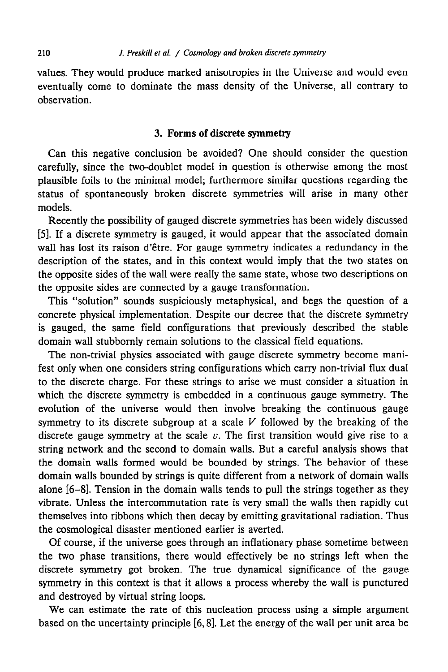values. They would produce marked anisotropies in the Universe and would even eventually come to dominate the mass density of the Universe, all contrary to observation.

# 3. Forms of discrete symmetry

Can this negative conclusion be avoided? One should consider the question carefully, since the two-doublet model in question is otherwise among the most plausible foils to the minimal model; furthermore similar questions regarding the status of spontaneously broken discrete symmetries will arise in many other models.

Recently the possibility of gauged discrete symmetries has been widely discussed [5]. If a discrete symmetry is gauged, it would appear that the associated domain wall has lost its raison d'être. For gauge symmetry indicates a redundancy in the description of the states, and in this context would imply that the two states on the opposite sides of the wall were really the same state, whose two descriptions on the opposite sides are connected by a gauge transformation.

This "solution" sounds suspiciously metaphysical, and begs the question of a concrete physical implementation. Despite our decree that the discrete symmetry is gauged, the same field configurations that previously described the stable domain wall stubbornly remain solutions to the classical field equations.

The non-trivial physics associated with gauge discrete symmetry become manifest only when one considers string configurations which carry non-trivial flux dual to the discrete charge. For these strings to arise we must consider a situation in which the discrete symmetry is embedded in a continuous gauge symmetry. The evolution of the universe would then involve breaking the continuous gauge symmetry to its discrete subgroup at a scale V followed by the breaking of the discrete gauge symmetry at the scale  $v$ . The first transition would give rise to a string network and the second to domain walls. But a careful analysis shows that the domain walls formed would be bounded by strings. The behavior of these domain walls bounded by strings is quite different from a network of domain walls alone [6-81. Tension in the domain walls tends to pull the strings together as they vibrate. Unless the intercommutation rate is very small the walls then rapidly cut themselves into ribbons which then decay by emitting gravitational radiation. Thus the cosmological disaster mentioned earlier is averted.

Of course, if the universe goes through an inflationary phase sometime between the two phase transitions, there would effectively be no strings left when the discrete symmetry got broken. The true dynamical significance of the gauge symmetry in this context is that it allows a process whereby the wall is punctured and destroyed by virtual string loops.

We can estimate the rate of this nucleation process using a simple argument based on the uncertainty principle [6,8]. Let the energy of the wall per unit area be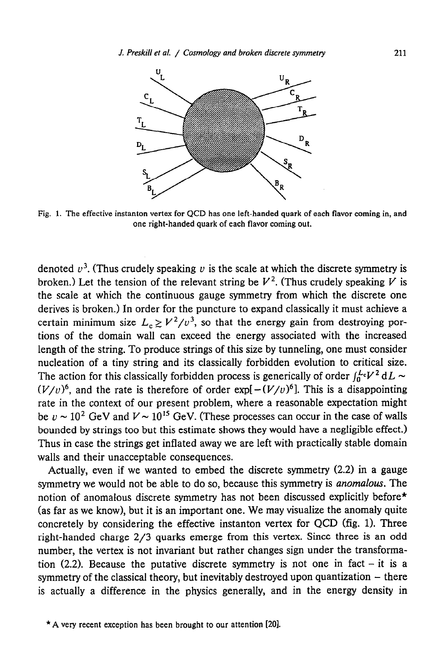

Fig. 1. The effective instanton vertex for QCD has one left-handed quark of each flavor coming in, and one right-handed quark of each flavor coming out.

denoted  $v<sup>3</sup>$ . (Thus crudely speaking v is the scale at which the discrete symmetry is broken.) Let the tension of the relevant string be  $V^2$ . (Thus crudely speaking V is the scale at which the continuous gauge symmetry from which the discrete one derives is broken.) In order for the puncture to expand classically it must achieve a certain minimum size  $L_c \ge V^2/v^3$ , so that the energy gain from destroying portions of the domain wall can exceed the energy associated with the increased length of the string. To produce strings of this size by tunneling, one must consider nucleation of a tiny string and its classically forbidden evolution to critical size. The action for this classically forbidden process is generically of order  $\int_0^{L_c} V^2 dL \sim$  $(V/u)^6$ , and the rate is therefore of order exp[ $-(V/u)^6$ ]. This is a disappointing rate in the context of our present problem, where a reasonable expectation might be  $v \sim 10^2$  GeV and  $V \sim 10^{15}$  GeV. (These processes can occur in the case of walls bounded by strings too but this estimate shows they would have a negligible effect.) Thus in case the strings get inflated away we are left with practically stable domain walls and their unacceptable consequences.

Actually, even if we wanted to embed the discrete symmetry (2.2) in a gauge symmetry we would not be able to do so, because this symmetry is anomalous. The notion of anomalous discrete symmetry has not been discussed explicitly before\* (as far as we know), but it is an important one. We may visualize the anomaly quite concretely by considering the effective instanton vertex for QCD (fig. 1). Three right-handed charge 2/3 quarks emerge from this vertex. Since three is an odd number, the vertex is not invariant but rather changes sign under the transformation  $(2.2)$ . Because the putative discrete symmetry is not one in fact – it is a symmetry of the classical theory, but inevitably destroyed upon quantization  $-$  there is actually a difference in the physics generally, and in the energy density in

 $*$  A very recent exception has been brought to our attention [20].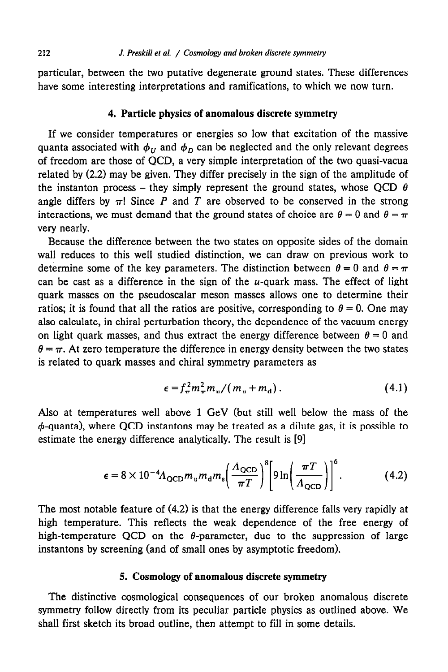particular, between the two putative degenerate ground states. These differences have some interesting interpretations and ramifications, to which we now turn.

### 4. Particle physics of anomalous discrete symmetry

If we consider temperatures or energies so low that excitation of the massive quanta associated with  $\phi_U$  and  $\phi_D$  can be neglected and the only relevant degrees of freedom are those of QCD, a very simple interpretation of the two quasi-vacua related by (2.2) may be given. They differ precisely in the sign of the amplitude of the instanton process – they simply represent the ground states, whose QCD  $\theta$ angle differs by  $\pi$ ! Since P and T are observed to be conserved in the strong interactions, we must demand that the ground states of choice are  $\theta = 0$  and  $\theta = \pi$ very nearly.

Because the difference between the two states on opposite sides of the domain wall reduces to this well studied distinction, we can draw on previous work to determine some of the key parameters. The distinction between  $\theta = 0$  and  $\theta = \pi$ can be cast as a difference in the sign of the  $u$ -quark mass. The effect of light quark masses on the pseudoscalar meson masses allows one to determine their ratios; it is found that all the ratios are positive, corresponding to  $\theta = 0$ . One may also calculate, in chiral perturbation theory, the dependence of the vacuum energy on light quark masses, and thus extract the energy difference between  $\theta = 0$  and  $\theta = \pi$ . At zero temperature the difference in energy density between the two states is related to quark masses and chiral symmetry parameters as

$$
\epsilon = f_{\pi}^2 m_{\pi}^2 m_{\mathsf{u}} / (m_{\mathsf{u}} + m_{\mathsf{d}}) \,. \tag{4.1}
$$

Also at temperatures well above 1 GeV (but still well below the mass of the  $\phi$ -quanta), where QCD instantons may be treated as a dilute gas, it is possible to estimate the energy difference analytically. The result is [9]

$$
\epsilon = 8 \times 10^{-4} A_{\text{QCD}} m_{\text{u}} m_{\text{d}} m_{\text{s}} \left( \frac{A_{\text{QCD}}}{\pi T} \right)^8 \left[ 9 \ln \left( \frac{\pi T}{A_{\text{QCD}}} \right) \right]^6. \tag{4.2}
$$

The most notable feature of (4.2) is that the energy difference falls very rapidly at high temperature. This reflects the weak dependence of the free energy of high-temperature QCD on the  $\theta$ -parameter, due to the suppression of large instantons by screening (and of small ones by asymptotic freedom).

# 5. Cosmology of anomalous discrete symmetry

The distinctive cosmological consequences of our broken anomalous discrete symmetry follow directly from its peculiar particle physics as outlined above. We shall first sketch its broad outline, then attempt to fill in some details.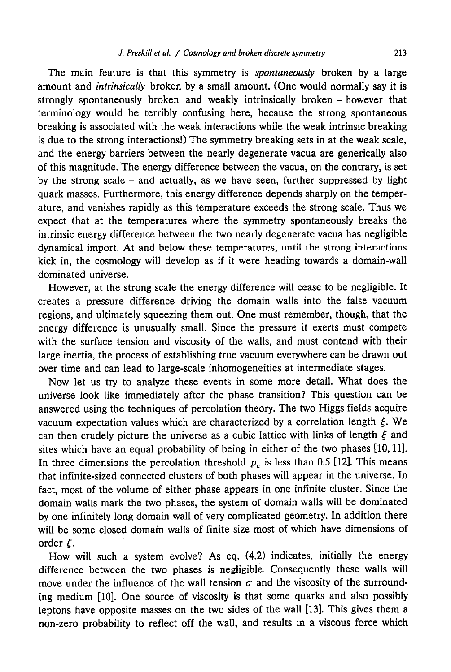The main feature is that this symmetry is *spontaneously* broken by a large amount and *intrinsically* broken by a small amount. (One would normally say it is strongly spontaneously broken and weakly intrinsically broken - however that terminology would be terribly confusing here, because the strong spontaneous breaking is associated with the weak interactions while the weak intrinsic breaking is due to the strong interactions!) The symmetry breaking sets in at the weak scale, and the energy barriers between the nearly degenerate vacua are generically also of this magnitude. 'The energy difference between the vacua, on the contrary, is set by the strong scale - and actually, as we have seen, further suppressed by light quark masses. Furthermore, this energy difference depends sharply on the temperature, and vanishes rapidly as this temperature exceeds the strong scale. Thus we expect that at the temperatures where the symmetry spontaneously breaks the intrinsic energy difference between the two nearly degenerate vacua has negligible dynamical import. At and below these temperatures, until the strong interactions kick in, the cosmology will develop as if it were heading towards a domain-wall dominated universe.

However, at the strong scale the energy difference will cease to be negligible. It creates a pressure difference driving the domain walls into the false vacuum regions, and ultimately squeezing them out. One must remember, though, that the energy difference is unusually small. Since the pressure it exerts must compete with the surface tension and viscosity of the walls, and must contend with their large inertia, the process of establishing true vacuum everywhere can be drawn out over time and can lead to large-scale inhomogeneities at intermediate stages.

Now let us try to analyze these events in some more detail. What does the universe look like immediately after the phase transition? This question can be answered using the techniques of percolation theory. The two Higgs fields acquire vacuum expectation values which are characterized by a correlation length  $\xi$ . We can then crudely picture the universe as a cubic lattice with links of length  $\xi$  and sites which have an equal probability of being in either of the two phases [lo, 111. In three dimensions the percolation threshold  $p_c$  is less than 0.5 [12]. This means that infinite-sized connected clusters of both phases will appear in the universe. In fact, most of the volume of either phase appears in one infinite cluster. Since the domain walls mark the two phases, the system of domain walls will be dominated by one infinitely long domain wall of very complicated geometry. In addition there will be some closed domain walls of finite size most of which have dimensions of order  $\xi$ .

How will such a system evolve? As eq. (4.2) indicates, initially the energy difference between the two phases is negligible. Consequently these walls will move under the influence of the wall tension  $\sigma$  and the viscosity of the surrounding medium [lo]. One source of viscosity is that some quarks and also possibly leptons have opposite masses on the two sides of the wall [13]. This gives them a non-zero probability to reflect off the wall, and results in a viscous force which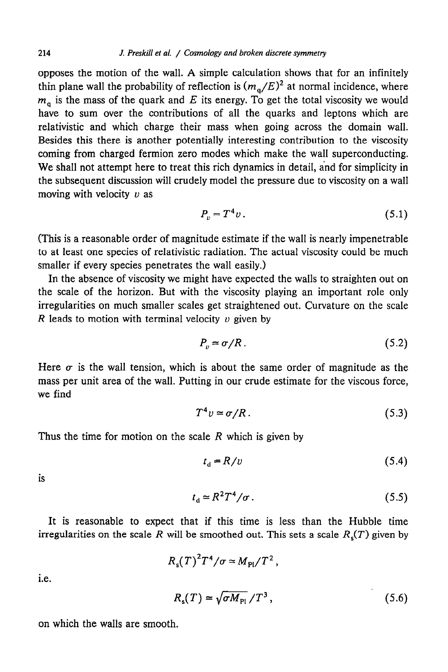opposes the motion of the wall. A simple calculation shows that for an infinitely thin plane wall the probability of reflection is  $(m_q/E)^2$  at normal incidence, where  $m<sub>q</sub>$  is the mass of the quark and E its energy. To get the total viscosity we would have to sum over the contributions of all the quarks and leptons which are relativistic and which charge their mass when going across the domain wall. Besides this there is another potentially interesting contribution to the viscosity coming from charged fermion zero modes which make the wall superconducting. We shall not attempt here to treat this rich dynamics in detail, and for simplicity in the subsequent discussion will crudely model the pressure due to viscosity on a wall moving with velocity  $\nu$  as

$$
P_v = T^4 v. \tag{5.1}
$$

(This is a reasonable order of magnitude estimate if the wall is nearly impenetrable to at least one species of relativistic radiation. The actual viscosity could be much smaller if every species penetrates the wall easily.)

In the absence of viscosity we might have expected the walls to straighten out on the scale of the horizon. But with the viscosity playing an important role only irregularities on much smaller scales get straightened out. Curvature on the scale R leads to motion with terminal velocity  $\nu$  given by

$$
P_v \approx \sigma / R \,. \tag{5.2}
$$

Here  $\sigma$  is the wall tension, which is about the same order of magnitude as the mass per unit area of the wall. Putting in our crude estimate for the viscous force, we find

$$
T^4 v \simeq \sigma/R \,. \tag{5.3}
$$

Thus the time for motion on the scale  $R$  which is given by

$$
t_{\rm d} = R/v \tag{5.4}
$$

is

$$
t_{\rm d} \simeq R^2 T^4 / \sigma \,. \tag{5.5}
$$

It is reasonable to expect that if this time is less than the Hubble time irregularities on the scale R will be smoothed out. This sets a scale  $R_s(T)$  given by

 $R_{\rm g}(T)^2T^4/\sigma \simeq M_{\rm pl}/T^2$ ,

i.e.

$$
R_{\rm s}(T) \simeq \sqrt{\sigma M_{\rm Pl}} / T^3 \,, \tag{5.6}
$$

on which the walls are smooth.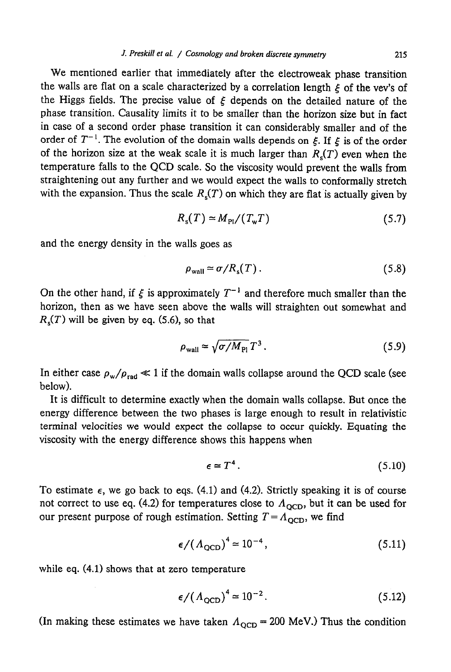We mentioned earlier that immediately after the electroweak phase transition the walls are flat on a scale characterized by a correlation length  $\xi$  of the vev's of the Higgs fields. The precise value of  $\xi$  depends on the detailed nature of the phase transition. Causality limits it to be smaller than the horizon size but in fact in case of a second order phase transition it can considerably smaller and of the order of  $T^{-1}$ . The evolution of the domain walls depends on  $\xi$ . If  $\xi$  is of the order of the horizon size at the weak scale it is much larger than  $R_s(T)$  even when the temperature falls to the QCD scale. So the viscosity would prevent the walls from straightening out any further and we would expect the walls to conformally stretch with the expansion. Thus the scale  $R_s(T)$  on which they are flat is actually given by

$$
R_s(T) \simeq M_{\rm Pl}/(T_{\rm w}T) \tag{5.7}
$$

and the energy density in the walls goes as

$$
\rho_{\text{wall}} \simeq \sigma / R_{\text{s}}(T) \,. \tag{5.8}
$$

On the other hand, if  $\xi$  is approximately  $T^{-1}$  and therefore much smaller than the horizon, then as we have seen above the walls will straighten out somewhat and  $R_s(T)$  will be given by eq. (5.6), so that

$$
\rho_{\text{wall}} \simeq \sqrt{\sigma / M_{\text{Pl}}} \, T^3 \,. \tag{5.9}
$$

In either case  $\rho_w/\rho_{rad} \ll 1$  if the domain walls collapse around the QCD scale (see below).

It is difficult to determine exactly when the domain walls collapse. But once the energy difference between the two phases is large enough to result in relativistic terminal velocities we would expect the collapse to occur quickly. Equating the viscosity with the energy difference shows this happens when

$$
\epsilon \simeq T^4. \tag{5.10}
$$

To estimate  $\epsilon$ , we go back to eqs. (4.1) and (4.2). Strictly speaking it is of course not correct to use eq. (4.2) for temperatures close to  $A_{\text{QCD}}$ , but it can be used for our present purpose of rough estimation. Setting  $T = A_{QCD}$ , we find

$$
\epsilon / (\Lambda_{\rm QCD})^4 = 10^{-4},\tag{5.11}
$$

while eq. (4.1) shows that at zero temperature

$$
\epsilon / \left( \Lambda_{\text{QCD}} \right)^4 \simeq 10^{-2}. \tag{5.12}
$$

(In making these estimates we have taken  $A_{\text{OCD}} = 200$  MeV.) Thus the condition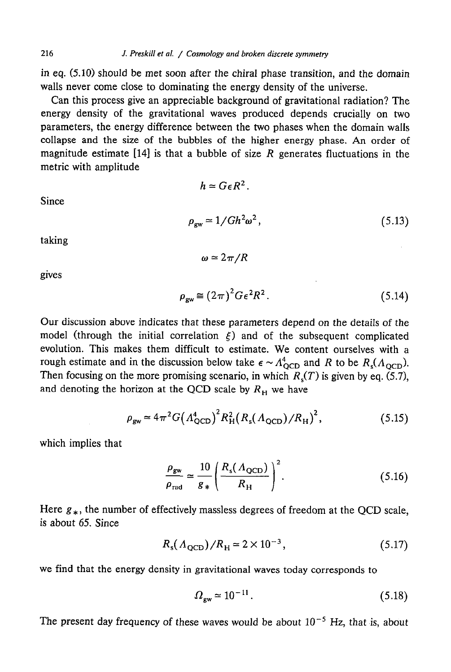216 J. Preskill et al. / Cosmology and broken discrete symmetry

in eq. (5.10) should be met soon after the chiral phase transition, and the domain walls never come close to dominating the energy density of the universe.

Can this process give an appreciable background of gravitational radiation? The energy density of the gravitational waves produced depends crucially on two parameters, the energy difference between the two phases when the domain walls collapse and the size of the bubbles of the higher energy phase. An order of magnitude estimate  $[14]$  is that a bubble of size R generates fluctuations in the metric with amplitude

 $h = G \epsilon R^2$ .

**Since** 

$$
\rho_{\rm gw} \simeq 1/Gh^2\omega^2, \tag{5.13}
$$

taking

 $\omega \simeq 2\pi/R$ 

gives

$$
\rho_{\rm gw} \cong (2\pi)^2 G \epsilon^2 R^2. \tag{5.14}
$$

Our discussion above indicates that these parameters depend on the details of the model (through the initial correlation  $\xi$ ) and of the subsequent complicated evolution. This makes them difficult to estimate. We content ourselves with a rough estimate and in the discussion below take  $\epsilon \sim A_{\text{OCD}}^4$  and R to be  $R_s(A_{\text{OCD}})$ . Then focusing on the more promising scenario, in which  $R_s(T)$  is given by eq. (5.7), and denoting the horizon at the QCD scale by  $R_H$  we have

$$
\rho_{\rm gw} \simeq 4\pi^2 G \big( \Lambda_{\rm QCD}^4 \big)^2 R_{\rm H}^2 \big( R_{\rm s} \big( \Lambda_{\rm QCD} \big) / R_{\rm H} \big)^2, \tag{5.15}
$$

which implies that

$$
\frac{\rho_{\text{gw}}}{\rho_{\text{rad}}} \simeq \frac{10}{g_*} \left( \frac{R_s(\Lambda_{\text{QCD}})}{R_{\text{H}}} \right)^2.
$$
 (5.16)

Here  $g_*$ , the number of effectively massless degrees of freedom at the QCD scale, is about 65. Since

$$
R_{\rm s}(\Lambda_{\rm QCD})/R_{\rm H} \simeq 2 \times 10^{-3},\tag{5.17}
$$

we find that the energy density in gravitational waves today corresponds to

$$
\Omega_{\rm gw} \simeq 10^{-11} \,. \tag{5.18}
$$

The present day frequency of these waves would be about  $10^{-5}$  Hz, that is, about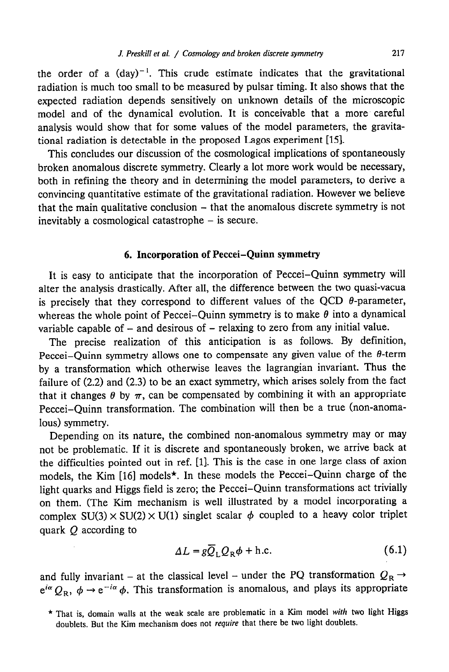the order of a  $(\text{day})^{-1}$ . This crude estimate indicates that the gravitational radiation is much too small to be measured by pulsar timing. It also shows that the expected radiation depends sensitively on unknown details of the microscopic model and of the dynamical evolution. It is conceivable that a more careful analysis would show that for some values of the model parameters, the gravitational radiation is detectable in the proposed Lagos experiment [15].

This concludes our discussion of the cosmological implications of spontaneously broken anomalous discrete symmetry. Clearly a lot more work would be necessary, both in refining the theory and in determining the model parameters, to derive a convincing quantitative estimate of the gravitational radiation. However we believe that the main qualitative conclusion – that the anomalous discrete symmetry is not inevitably a cosmological catastrophe  $-$  is secure.

### 6. Incorporation of Peccei-Quinn symmetry

It is easy to anticipate that the incorporation of Peccei-Quinn symmetry will alter the analysis drastically. After all, the difference between the two quasi-vacua is precisely that they correspond to different values of the QCD  $\theta$ -parameter, whereas the whole point of Peccei-Quinn symmetry is to make  $\theta$  into a dynamical variable capable of  $-$  and desirous of  $-$  relaxing to zero from any initial value.

The precise realization of this anticipation is as follows. By definition, Peccei-Quinn symmetry allows one to compensate any given value of the  $\theta$ -term by a transformation which otherwise leaves the lagrangian invariant. Thus the failure of (2.2) and (2.3) to be an exact symmetry, which arises solely from the fact that it changes  $\theta$  by  $\pi$ , can be compensated by combining it with an appropriate Peccei-Quinn transformation. The combination will then be a true (non-anomalous) symmetry.

Depending on its nature, the combined non-anomalous symmetry may or may not be problematic. If it is discrete and spontaneously broken, we arrive back at the difficulties pointed out in ref. [l]. This is the case in one large class of axion models, the Kim [16] models\*. In these models the Peccei-Quinn charge of the light quarks and Higgs field is zero; the Peccei-Quinn transformations act trivially on them. (The Kim mechanism is well illustrated by a model incorporating a complex  $SU(3) \times SU(2) \times U(1)$  singlet scalar  $\phi$  coupled to a heavy color triplet quark Q according to

$$
\Delta L = g \overline{Q}_{\rm L} Q_{\rm R} \phi + \text{h.c.}
$$
 (6.1)

and fully invariant - at the classical level - under the PQ transformation  $Q_R \rightarrow$  $e^{i\alpha}Q_B$ ,  $\phi \rightarrow e^{-i\alpha}\phi$ . This transformation is anomalous, and plays its appropriate

<sup>\*</sup> That is, domain walls at the weak scale are problematic in a Kim model with two light Higgs doublets. But the Kim mechanism does not *require* that there be two light doublets.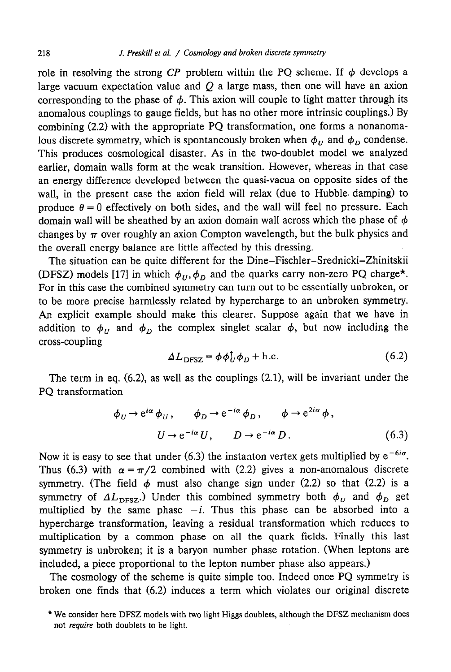role in resolving the strong CP problem within the PQ scheme. If  $\phi$  develops a large vacuum expectation value and  $Q$  a large mass, then one will have an axion corresponding to the phase of  $\phi$ . This axion will couple to light matter through its anomalous couplings to gauge fields, but has no other more intrinsic couplings.) By combining (2.2) with the appropriate PQ transformation, one forms a nonanomalous discrete symmetry, which is spontaneously broken when  $\phi_{U}$  and  $\phi_{D}$  condense. This produces cosmological disaster. As in the two-doublet model we analyzed earlier, domain walls form at the weak transition. However, whereas in that case an energy difference developed between the quasi-vacua on opposite sides of the wall, in the present case the axion field will relax (due to Hubble. damping) to produce  $\theta = 0$  effectively on both sides, and the wall will feel no pressure. Each domain wall will be sheathed by an axion domain wall across which the phase of  $\phi$ changes by  $\pi$  over roughly an axion Compton wavelength, but the bulk physics and the overall energy balance are little affected by this dressing.

The situation can be quite different for the Dine-Fischler-Srednicki-Zhinitskii (DFSZ) models [17] in which  $\phi_U, \phi_D$  and the quarks carry non-zero PQ charge\*. For in this case the combined symmetry can turn out to be essentially unbroken, or to be more precise harmlessly related by hypercharge to an unbroken symmetry. An explicit example should make this clearer. Suppose again that we have in addition to  $\phi_U$  and  $\phi_D$  the complex singlet scalar  $\phi$ , but now including the cross-coupling

$$
\Delta L_{\rm DFSZ} = \phi \phi_U^{\dagger} \phi_D + \text{h.c.} \tag{6.2}
$$

The term in eq.  $(6.2)$ , as well as the couplings  $(2.1)$ , will be invariant under the PQ transformation

$$
\phi_U \to e^{i\alpha} \phi_U, \qquad \phi_D \to e^{-i\alpha} \phi_D, \qquad \phi \to e^{2i\alpha} \phi,
$$
  

$$
U \to e^{-i\alpha} U, \qquad D \to e^{-i\alpha} D.
$$
 (6.3)

Now it is easy to see that under (6.3) the instanton vertex gets multiplied by  $e^{-6i\alpha}$ . Thus (6.3) with  $\alpha = \pi/2$  combined with (2.2) gives a non-anomalous discrete symmetry. (The field  $\phi$  must also change sign under (2.2) so that (2.2) is a symmetry of  $\Delta L_{\text{DESZ}}$ .) Under this combined symmetry both  $\phi_U$  and  $\phi_D$  get multiplied by the same phase  $-i$ . Thus this phase can be absorbed into a hypercharge transformation, leaving a residual transformation which reduces to multiplication by a common phase on all the quark fields. Finally this last symmetry is unbroken; it is a baryon number phase rotation. (When leptons are included, a piece proportional to the lepton number phase also appears.)

The cosmology of the scheme is quite simple too. Indeed once PQ symmetry is broken one finds that (6.2) induces a term which violates our original discrete

<sup>\*</sup>We consider here DFSZ models with two light Higgs doublets, although the DFSZ mechanism does not require both doublets to be light.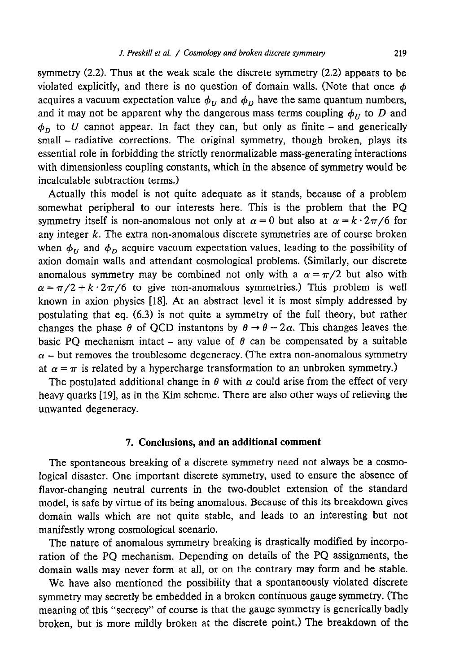symmetry (2.2). Thus at the weak scale the discrete symmetry (2.2) appears to be violated explicitly, and there is no question of domain walls. (Note that once  $\phi$ acquires a vacuum expectation value  $\phi_U$  and  $\phi_D$  have the same quantum numbers, and it may not be apparent why the dangerous mass terms coupling  $\phi_U$  to D and  $\phi<sub>D</sub>$  to U cannot appear. In fact they can, but only as finite - and generically small – radiative corrections. The original symmetry, though broken, plays its essential role in forbidding the strictly renormalizable mass-generating interactions with dimensionless coupling constants, which in the absence of symmetry would be incalculable subtraction terms.)

Actually this model is not quite adequate as it stands, because of a problem somewhat peripheral to our interests here. This is the problem that the PQ symmetry itself is non-anomalous not only at  $\alpha = 0$  but also at  $\alpha = k \cdot 2\pi/6$  for any integer k. The extra non-anomalous discrete symmetries are of course broken when  $\phi_U$  and  $\phi_D$  acquire vacuum expectation values, leading to the possibility of axion domain walls and attendant cosmological problems. (Similarly, our discrete anomalous symmetry may be combined not only with a  $\alpha = \pi/2$  but also with  $\alpha = \pi/2 + k \cdot 2\pi/6$  to give non-anomalous symmetries.) This problem is well known in axion physics [18]. At an abstract level it is most simply addressed by postulating that eq. (6.3) is not quite a symmetry of the full theory, but rather changes the phase  $\theta$  of QCD instantons by  $\theta \rightarrow \theta - 2\alpha$ . This changes leaves the basic PQ mechanism intact – any value of  $\theta$  can be compensated by a suitable  $\alpha$  – but removes the troublesome degeneracy. (The extra non-anomalous symmetry at  $\alpha = \pi$  is related by a hypercharge transformation to an unbroken symmetry.)

The postulated additional change in  $\theta$  with  $\alpha$  could arise from the effect of very heavy quarks [19], as in the Kim scheme. There are also other ways of relieving the unwanted degeneracy.

### 7. Conclusions, and an additional comment

The spontaneous breaking of a discrete symmetry need not always be a cosmological disaster. One important discrete symmetry, used to ensure the absence of flavor-changing neutral currents in the two-doublet extension of the standard model, is safe by virtue of its being anomalous. Because of this its breakdown gives domain walls which are not quite stable, and leads to an interesting but not manifestly wrong cosmological scenario.

The nature of anomalous symmetry breaking is drastically modified by incorporation of the PQ mechanism. Depending on details of the PQ assignments, the domain walls may never form at all, or on the contrary may form and be stable.

We have also mentioned the possibility that a spontaneously violated discrete symmetry may secretly be embedded in a broken continuous gauge symmetry. (The meaning of this "secrecy" of course is that the gauge symmetry is generically badly broken, but is more mildly broken at the discrete point.) The breakdown of the